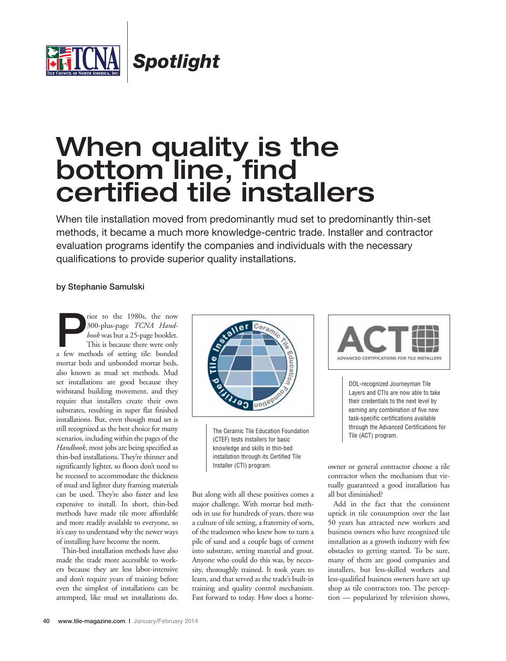

*Spotlight*

## When quality is the bottom line, find certified tile installers

When tile installation moved from predominantly mud set to predominantly thin-set methods, it became a much more knowledge-centric trade. Installer and contractor evaluation programs identify the companies and individuals with the necessary qualifications to provide superior quality installations.

## **by Stephanie Samulski**

**Prior** to the 1980s, the now 300-plus-page *TCNA Hand-book* was but a 25-page booklet. This is because there were only a few methods of setting tile: bonded 300-plus-page *TCNA Handbook* was but a 25-page booklet. This is because there were only mortar beds and unbonded mortar beds, also known as mud set methods. Mud set installations are good because they withstand building movement, and they require that installers create their own substrates, resulting in super flat finished installations. But, even though mud set is still recognized as the best choice for many scenarios, including within the pages of the *Handbook*, most jobs are being specified as thin-bed installations. They're thinner and significantly lighter, so floors don't need to be recessed to accommodate the thickness of mud and lighter duty framing materials can be used. They're also faster and less expensive to install. In short, thin-bed methods have made tile more affordable and more readily available to everyone, so it's easy to understand why the newer ways of installing have become the norm.

Thin-bed installation methods have also made the trade more accessible to workers because they are less labor-intensive and don't require years of training before even the simplest of installations can be attempted, like mud set installations do.



The Ceramic Tile Education Foundation Foundation Foundation Foundation Foundation Foundation File (ACT) program. (CTEF) tests installers for basic knowledge and skills in thin-bed installation through its Certified Tile

But along with all these positives comes a major challenge. With mortar bed methods in use for hundreds of years, there was a culture of tile setting, a fraternity of sorts, of the tradesmen who knew how to turn a pile of sand and a couple bags of cement into substrate, setting material and grout. Anyone who could do this was, by necessity, thoroughly trained. It took years to learn, and that served as the trade's built-in training and quality control mechanism. Fast forward to today. How does a home-



DOL-recognized Journeyman Tile Layers and CTIs are now able to take their credentials to the next level by earning any combination of five new task-specific certifications available through the Advanced Certifications for

Installer (CTI) program. owner or general contractor choose a tile contractor when the mechanism that virtually guaranteed a good installation has all but diminished?

> Add in the fact that the consistent uptick in tile consumption over the last 50 years has attracted new workers and business owners who have recognized tile installation as a growth industry with few obstacles to getting started. To be sure, many of them are good companies and installers, but less-skilled workers and less-qualified business owners have set up shop as tile contractors too. The perception — popularized by television shows,